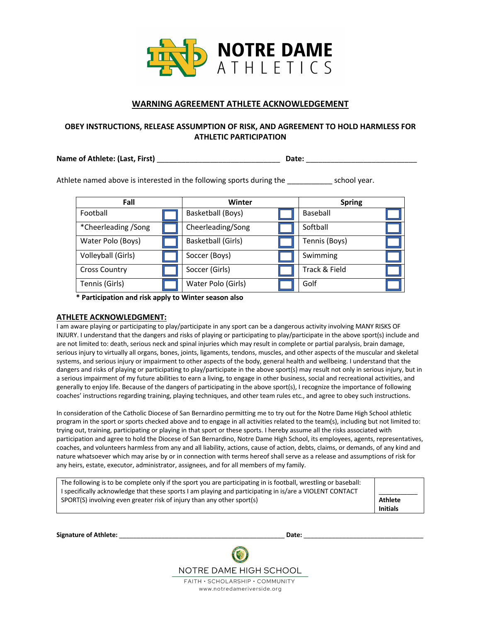

## **WARNING AGREEMENT ATHLETE ACKNOWLEDGEMENT**

### **OBEY INSTRUCTIONS, RELEASE ASSUMPTION OF RISK, AND AGREEMENT TO HOLD HARMLESS FOR ATHLETIC PARTICIPATION**

**Name of Athlete: (Last, First)** \_\_\_\_\_\_\_\_\_\_\_\_\_\_\_\_\_\_\_\_\_\_\_\_\_\_\_\_\_\_ **Date:** \_\_\_\_\_\_\_\_\_\_\_\_\_\_\_\_\_\_\_\_\_\_\_\_\_\_\_

Athlete named above is interested in the following sports during the school year.

| Fall                 | Winter                    |               | <b>Spring</b> |
|----------------------|---------------------------|---------------|---------------|
| Football             | Basketball (Boys)         |               | Baseball      |
| *Cheerleading /Song  | Cheerleading/Song         |               | Softball      |
| Water Polo (Boys)    | <b>Basketball (Girls)</b> | Tennis (Boys) |               |
| Volleyball (Girls)   | Soccer (Boys)             |               | Swimming      |
| <b>Cross Country</b> | Soccer (Girls)            |               | Track & Field |
| Tennis (Girls)       | Water Polo (Girls)        |               | Golf          |

 **\* Participation and risk apply to Winter season also**

### **ATHLETE ACKNOWLEDGMENT:**

I am aware playing or participating to play/participate in any sport can be a dangerous activity involving MANY RISKS OF INJURY. I understand that the dangers and risks of playing or participating to play/participate in the above sport(s) include and are not limited to: death, serious neck and spinal injuries which may result in complete or partial paralysis, brain damage, serious injury to virtually all organs, bones, joints, ligaments, tendons, muscles, and other aspects of the muscular and skeletal systems, and serious injury or impairment to other aspects of the body, general health and wellbeing. I understand that the dangers and risks of playing or participating to play/participate in the above sport(s) may result not only in serious injury, but in a serious impairment of my future abilities to earn a living, to engage in other business, social and recreational activities, and generally to enjoy life. Because of the dangers of participating in the above sport(s), I recognize the importance of following coaches' instructions regarding training, playing techniques, and other team rules etc., and agree to obey such instructions.

In consideration of the Catholic Diocese of San Bernardino permitting me to try out for the Notre Dame High School athletic program in the sport or sports checked above and to engage in all activities related to the team(s), including but not limited to: trying out, training, participating or playing in that sport or these sports. I hereby assume all the risks associated with participation and agree to hold the Diocese of San Bernardino, Notre Dame High School, its employees, agents, representatives, coaches, and volunteers harmless from any and all liability, actions, cause of action, debts, claims, or demands, of any kind and nature whatsoever which may arise by or in connection with terms hereof shall serve as a release and assumptions of risk for any heirs, estate, executor, administrator, assignees, and for all members of my family.

| The following is to be complete only if the sport you are participating in is football, wrestling or baseball: |                 |
|----------------------------------------------------------------------------------------------------------------|-----------------|
| I specifically acknowledge that these sports I am playing and participating in is/are a VIOLENT CONTACT        |                 |
| SPORT(S) involving even greater risk of injury than any other sport(s)                                         | Athlete         |
|                                                                                                                | <b>Initials</b> |

**Signature of Athlete:** \_\_\_\_\_\_\_\_\_\_\_\_\_\_\_\_\_\_\_\_\_\_\_\_\_\_\_\_\_\_\_\_\_\_\_\_\_\_\_\_\_\_\_\_\_\_\_ **Date:** \_\_\_\_\_\_\_\_\_\_\_\_\_\_\_\_\_\_\_\_\_\_\_\_\_\_\_\_\_\_\_\_\_\_

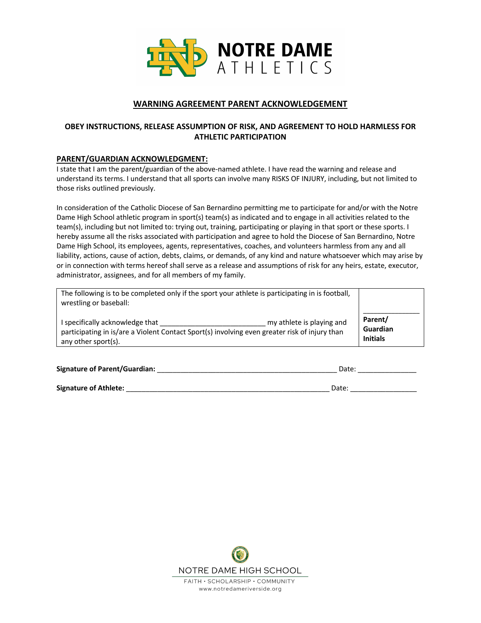

# **WARNING AGREEMENT PARENT ACKNOWLEDGEMENT**

## **OBEY INSTRUCTIONS, RELEASE ASSUMPTION OF RISK, AND AGREEMENT TO HOLD HARMLESS FOR ATHLETIC PARTICIPATION**

### **PARENT/GUARDIAN ACKNOWLEDGMENT:**

I state that I am the parent/guardian of the above-named athlete. I have read the warning and release and understand its terms. I understand that all sports can involve many RISKS OF INJURY, including, but not limited to those risks outlined previously.

In consideration of the Catholic Diocese of San Bernardino permitting me to participate for and/or with the Notre Dame High School athletic program in sport(s) team(s) as indicated and to engage in all activities related to the team(s), including but not limited to: trying out, training, participating or playing in that sport or these sports. I hereby assume all the risks associated with participation and agree to hold the Diocese of San Bernardino, Notre Dame High School, its employees, agents, representatives, coaches, and volunteers harmless from any and all liability, actions, cause of action, debts, claims, or demands, of any kind and nature whatsoever which may arise by or in connection with terms hereof shall serve as a release and assumptions of risk for any heirs, estate, executor, administrator, assignees, and for all members of my family.

| The following is to be completed only if the sport your athlete is participating in is football,<br>wrestling or baseball:                                                           |                                        |
|--------------------------------------------------------------------------------------------------------------------------------------------------------------------------------------|----------------------------------------|
| I specifically acknowledge that<br>my athlete is playing and<br>participating in is/are a Violent Contact Sport(s) involving even greater risk of injury than<br>any other sport(s). | Parent/<br>Guardian<br><b>Initials</b> |

| <b>Signature of Parent/Guardian:</b> | Date: |
|--------------------------------------|-------|
|                                      |       |
| <b>Signature of Athlete:</b>         | Date: |

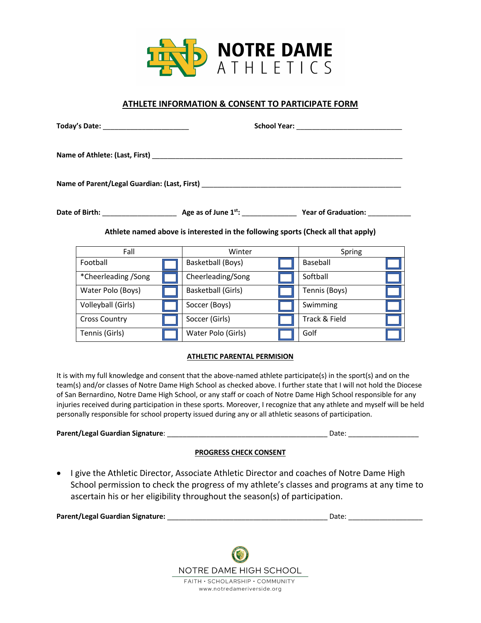

## **ATHLETE INFORMATION & CONSENT TO PARTICIPATE FORM**

|  |                      |  | Name of Parent/Legal Guardian: (Last, First)                                     |  |               |  |
|--|----------------------|--|----------------------------------------------------------------------------------|--|---------------|--|
|  |                      |  |                                                                                  |  |               |  |
|  |                      |  | Athlete named above is interested in the following sports (Check all that apply) |  |               |  |
|  | Fall                 |  | Winter                                                                           |  | Spring        |  |
|  | Football             |  | Basketball (Boys)                                                                |  | Baseball      |  |
|  | *Cheerleading /Song  |  | Cheerleading/Song                                                                |  | Softball      |  |
|  | Water Polo (Boys)    |  | Basketball (Girls)                                                               |  | Tennis (Boys) |  |
|  | Volleyball (Girls)   |  | Soccer (Boys)                                                                    |  | Swimming      |  |
|  | <b>Cross Country</b> |  | Soccer (Girls)                                                                   |  | Track & Field |  |

### **ATHLETIC PARENTAL PERMISION**

Tennis (Girls) **Tennis (Girls)** Golf

It is with my full knowledge and consent that the above-named athlete participate(s) in the sport(s) and on the team(s) and/or classes of Notre Dame High School as checked above. I further state that I will not hold the Diocese of San Bernardino, Notre Dame High School, or any staff or coach of Notre Dame High School responsible for any injuries received during participation in these sports. Moreover, I recognize that any athlete and myself will be held personally responsible for school property issued during any or all athletic seasons of participation.

| Parent/Legal Guardian Signature: | Date: |
|----------------------------------|-------|
|                                  |       |

### **PROGRESS CHECK CONSENT**

• I give the Athletic Director, Associate Athletic Director and coaches of Notre Dame High School permission to check the progress of my athlete's classes and programs at any time to ascertain his or her eligibility throughout the season(s) of participation.

| <b>Parent/Legal Guardian Signature:</b> | Date |  |
|-----------------------------------------|------|--|
|                                         |      |  |

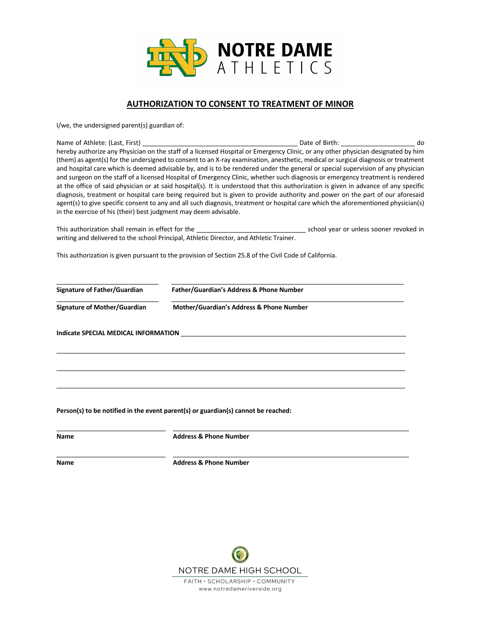

## **AUTHORIZATION TO CONSENT TO TREATMENT OF MINOR**

I/we, the undersigned parent(s) guardian of:

Name of Athlete: (Last, First) \_\_\_\_\_\_\_\_\_\_\_\_\_\_\_\_\_\_\_\_\_\_\_\_\_\_\_\_\_\_\_\_\_\_\_\_\_\_\_\_\_\_\_\_ Date of Birth: \_\_\_\_\_\_\_\_\_\_\_\_\_\_\_\_\_\_\_\_\_ do hereby authorize any Physician on the staff of a licensed Hospital or Emergency Clinic, or any other physician designated by him (them) as agent(s) for the undersigned to consent to an X-ray examination, anesthetic, medical or surgical diagnosis or treatment and hospital care which is deemed advisable by, and is to be rendered under the general or special supervision of any physician and surgeon on the staff of a licensed Hospital of Emergency Clinic, whether such diagnosis or emergency treatment is rendered at the office of said physician or at said hospital(s). It is understood that this authorization is given in advance of any specific diagnosis, treatment or hospital care being required but is given to provide authority and power on the part of our aforesaid agent(s) to give specific consent to any and all such diagnosis, treatment or hospital care which the aforementioned physician(s) in the exercise of his (their) best judgment may deem advisable.

This authorization shall remain in effect for the \_\_\_\_\_\_\_\_\_\_\_\_\_\_\_\_\_\_\_\_\_\_\_\_\_\_\_\_\_\_\_ school year or unless sooner revoked in writing and delivered to the school Principal, Athletic Director, and Athletic Trainer.

This authorization is given pursuant to the provision of Section 25.8 of the Civil Code of California.

**Signature of Father/Guardian Father/Guardian's Address & Phone Number** 

\_\_\_\_\_\_\_\_\_\_\_\_\_\_\_\_\_\_\_\_\_\_\_\_\_\_\_\_\_ \_\_\_\_\_\_\_\_\_\_\_\_\_\_\_\_\_\_\_\_\_\_\_\_\_\_\_\_\_\_\_\_\_\_\_\_\_\_\_\_\_\_\_\_\_\_\_\_\_\_\_\_\_\_\_\_\_\_\_\_\_\_\_\_\_\_

\_\_\_\_\_\_\_\_\_\_\_\_\_\_\_\_\_\_\_\_\_\_\_\_\_\_\_\_\_ \_\_\_\_\_\_\_\_\_\_\_\_\_\_\_\_\_\_\_\_\_\_\_\_\_\_\_\_\_\_\_\_\_\_\_\_\_\_\_\_\_\_\_\_\_\_\_\_\_\_\_\_\_\_\_\_\_\_\_\_\_\_\_\_\_\_

\_\_\_\_\_\_\_\_\_\_\_\_\_\_\_\_\_\_\_\_\_\_\_\_\_\_\_\_\_\_\_\_\_\_\_\_\_\_\_\_\_\_\_\_\_\_\_\_\_\_\_\_\_\_\_\_\_\_\_\_\_\_\_\_\_\_\_\_\_\_\_\_\_\_\_\_\_\_\_\_\_\_\_\_\_\_\_\_\_\_\_\_\_\_\_\_\_\_\_

\_\_\_\_\_\_\_\_\_\_\_\_\_\_\_\_\_\_\_\_\_\_\_\_\_\_\_\_\_\_\_\_\_\_\_\_\_\_\_\_\_\_\_\_\_\_\_\_\_\_\_\_\_\_\_\_\_\_\_\_\_\_\_\_\_\_\_\_\_\_\_\_\_\_\_\_\_\_\_\_\_\_\_\_\_\_\_\_\_\_\_\_\_\_\_\_\_\_\_

 $\mathcal{L}_\mathcal{L} = \{ \mathcal{L}_\mathcal{L} = \{ \mathcal{L}_\mathcal{L} = \{ \mathcal{L}_\mathcal{L} = \{ \mathcal{L}_\mathcal{L} = \{ \mathcal{L}_\mathcal{L} = \{ \mathcal{L}_\mathcal{L} = \{ \mathcal{L}_\mathcal{L} = \{ \mathcal{L}_\mathcal{L} = \{ \mathcal{L}_\mathcal{L} = \{ \mathcal{L}_\mathcal{L} = \{ \mathcal{L}_\mathcal{L} = \{ \mathcal{L}_\mathcal{L} = \{ \mathcal{L}_\mathcal{L} = \{ \mathcal{L}_\mathcal{$ 

 $\_$  ,  $\_$  ,  $\_$  ,  $\_$  ,  $\_$  ,  $\_$  ,  $\_$  ,  $\_$  ,  $\_$  ,  $\_$  ,  $\_$  ,  $\_$  ,  $\_$  ,  $\_$  ,  $\_$  ,  $\_$  ,  $\_$  ,  $\_$  ,  $\_$  ,  $\_$  ,  $\_$  ,  $\_$  ,  $\_$  ,  $\_$  ,  $\_$  ,  $\_$  ,  $\_$  ,  $\_$  ,  $\_$  ,  $\_$  ,  $\_$  ,  $\_$  ,  $\_$  ,  $\_$  ,  $\_$  ,  $\_$  ,  $\_$  ,

\_\_\_\_\_\_\_\_\_\_\_\_\_\_\_\_\_\_\_\_\_\_\_\_\_\_\_\_\_\_\_ \_\_\_\_\_\_\_\_\_\_\_\_\_\_\_\_\_\_\_\_\_\_\_\_\_\_\_\_\_\_\_\_\_\_\_\_\_\_\_\_\_\_\_\_\_\_\_\_\_\_\_\_\_\_\_\_\_\_\_\_\_\_\_\_\_\_\_

**Signature of Mother/Guardian Mother/Guardian's Address & Phone Number**

**Indicate SPECIAL MEDICAL INFORMATION** 

**Person(s) to be notified in the event parent(s) or guardian(s) cannot be reached:** 

**Name Address & Phone Number**

**Name Constraining Marine Address & Phone Number** 

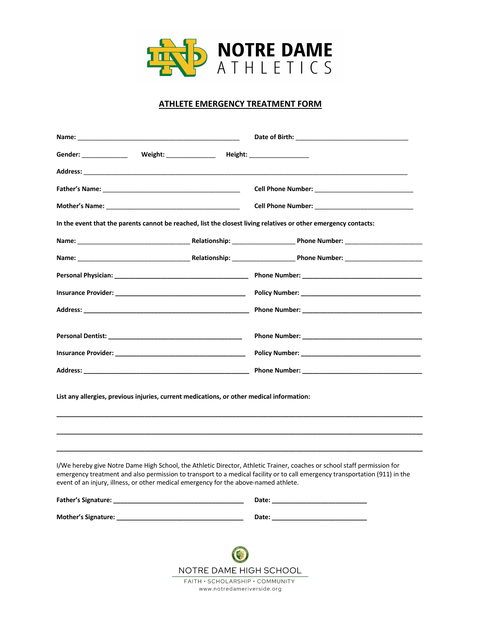

## **ATHLETE EMERGENCY TREATMENT FORM**

| Gender: _________________  Weight: ________________  Height: ___________________<br>In the event that the parents cannot be reached, list the closest living relatives or other emergency contacts:<br>List any allergies, previous injuries, current medications, or other medical information:<br>I/We hereby give Notre Dame High School, the Athletic Director, Athletic Trainer, coaches or school staff permission for<br>emergency treatment and also permission to transport to a medical facility or to call emergency transportation (911) in the<br>event of an injury, illness, or other medical emergency for the above-named athlete.<br>Mother's Signature: When the control of the control of the control of the control of the control of the control of the control of the control of the control of the control of the control of the control of the control of th<br>Date: the contract of the contract of the contract of the contract of the contract of the contract of the contract of the contract of the contract of the contract of the contract of the contract of the contract of the cont |  |  |
|-------------------------------------------------------------------------------------------------------------------------------------------------------------------------------------------------------------------------------------------------------------------------------------------------------------------------------------------------------------------------------------------------------------------------------------------------------------------------------------------------------------------------------------------------------------------------------------------------------------------------------------------------------------------------------------------------------------------------------------------------------------------------------------------------------------------------------------------------------------------------------------------------------------------------------------------------------------------------------------------------------------------------------------------------------------------------------------------------------------------------|--|--|
|                                                                                                                                                                                                                                                                                                                                                                                                                                                                                                                                                                                                                                                                                                                                                                                                                                                                                                                                                                                                                                                                                                                         |  |  |
|                                                                                                                                                                                                                                                                                                                                                                                                                                                                                                                                                                                                                                                                                                                                                                                                                                                                                                                                                                                                                                                                                                                         |  |  |
|                                                                                                                                                                                                                                                                                                                                                                                                                                                                                                                                                                                                                                                                                                                                                                                                                                                                                                                                                                                                                                                                                                                         |  |  |
|                                                                                                                                                                                                                                                                                                                                                                                                                                                                                                                                                                                                                                                                                                                                                                                                                                                                                                                                                                                                                                                                                                                         |  |  |
|                                                                                                                                                                                                                                                                                                                                                                                                                                                                                                                                                                                                                                                                                                                                                                                                                                                                                                                                                                                                                                                                                                                         |  |  |
|                                                                                                                                                                                                                                                                                                                                                                                                                                                                                                                                                                                                                                                                                                                                                                                                                                                                                                                                                                                                                                                                                                                         |  |  |
|                                                                                                                                                                                                                                                                                                                                                                                                                                                                                                                                                                                                                                                                                                                                                                                                                                                                                                                                                                                                                                                                                                                         |  |  |
|                                                                                                                                                                                                                                                                                                                                                                                                                                                                                                                                                                                                                                                                                                                                                                                                                                                                                                                                                                                                                                                                                                                         |  |  |
|                                                                                                                                                                                                                                                                                                                                                                                                                                                                                                                                                                                                                                                                                                                                                                                                                                                                                                                                                                                                                                                                                                                         |  |  |
|                                                                                                                                                                                                                                                                                                                                                                                                                                                                                                                                                                                                                                                                                                                                                                                                                                                                                                                                                                                                                                                                                                                         |  |  |
|                                                                                                                                                                                                                                                                                                                                                                                                                                                                                                                                                                                                                                                                                                                                                                                                                                                                                                                                                                                                                                                                                                                         |  |  |
|                                                                                                                                                                                                                                                                                                                                                                                                                                                                                                                                                                                                                                                                                                                                                                                                                                                                                                                                                                                                                                                                                                                         |  |  |
|                                                                                                                                                                                                                                                                                                                                                                                                                                                                                                                                                                                                                                                                                                                                                                                                                                                                                                                                                                                                                                                                                                                         |  |  |
|                                                                                                                                                                                                                                                                                                                                                                                                                                                                                                                                                                                                                                                                                                                                                                                                                                                                                                                                                                                                                                                                                                                         |  |  |
|                                                                                                                                                                                                                                                                                                                                                                                                                                                                                                                                                                                                                                                                                                                                                                                                                                                                                                                                                                                                                                                                                                                         |  |  |
|                                                                                                                                                                                                                                                                                                                                                                                                                                                                                                                                                                                                                                                                                                                                                                                                                                                                                                                                                                                                                                                                                                                         |  |  |
|                                                                                                                                                                                                                                                                                                                                                                                                                                                                                                                                                                                                                                                                                                                                                                                                                                                                                                                                                                                                                                                                                                                         |  |  |
|                                                                                                                                                                                                                                                                                                                                                                                                                                                                                                                                                                                                                                                                                                                                                                                                                                                                                                                                                                                                                                                                                                                         |  |  |

NOTRE DAME HIGH SCHOOL FAITH · SCHOLARSHIP · COMMUNITY www.notredameriverside.org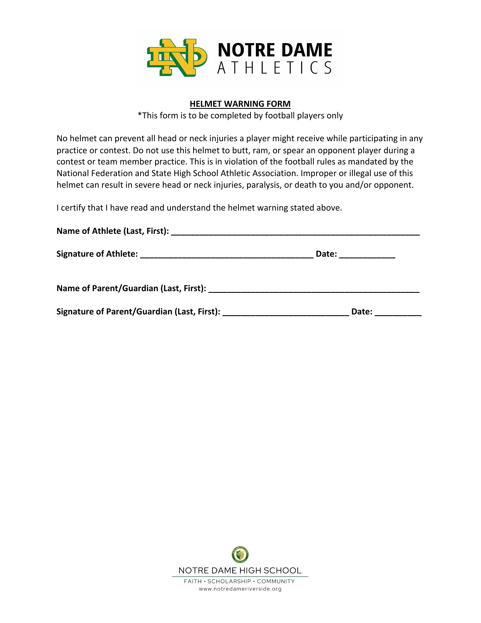

# **HELMET WARNING FORM**

\*This form is to be completed by football players only

No helmet can prevent all head or neck injuries a player might receive while participating in any practice or contest. Do not use this helmet to butt, ram, or spear an opponent player during a contest or team member practice. This is in violation of the football rules as mandated by the National Federation and State High School Athletic Association. Improper or illegal use of this helmet can result in severe head or neck injuries, paralysis, or death to you and/or opponent.

I certify that I have read and understand the helmet warning stated above.

| Name of Athlete (Last, First):              |                 |  |
|---------------------------------------------|-----------------|--|
|                                             | Date: _________ |  |
|                                             |                 |  |
| Signature of Parent/Guardian (Last, First): | Date:           |  |